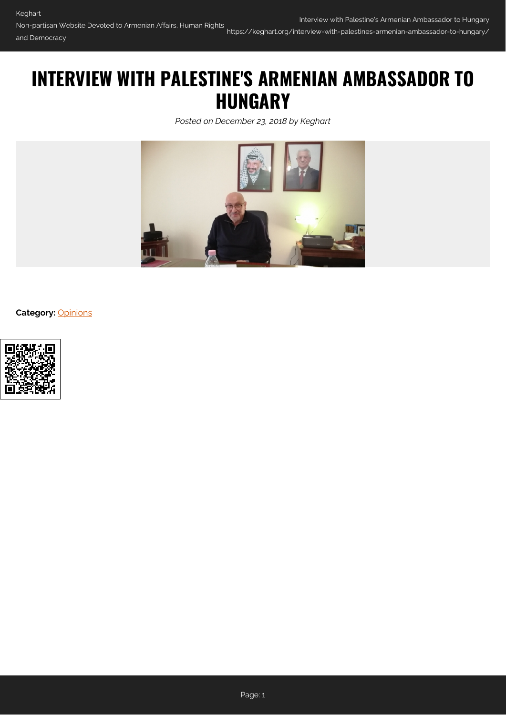# **INTERVIEW WITH PALESTINE'S ARMENIAN AMBASSADOR TO HUNGARY**

*Posted on December 23, 2018 by Keghart*



**Category:** [Opinions](https://keghart.org/category/opinions/)

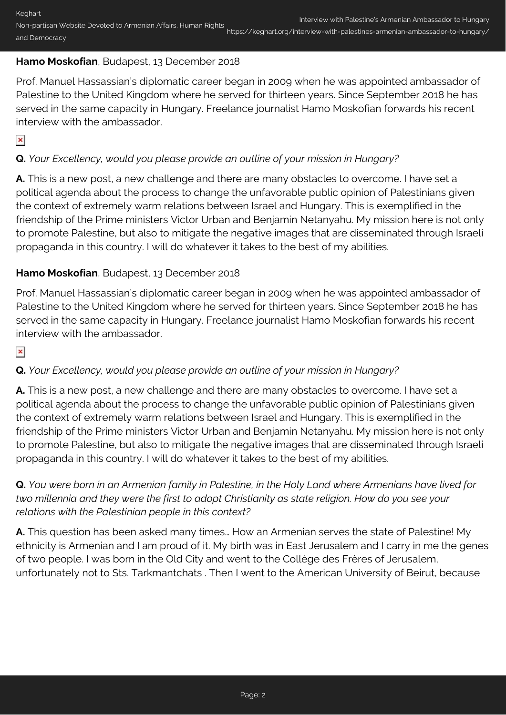## **Hamo Moskofian**, Budapest, 13 December 2018

Prof. Manuel Hassassian's diplomatic career began in 2009 when he was appointed ambassador of Palestine to the United Kingdom where he served for thirteen years. Since September 2018 he has served in the same capacity in Hungary. Freelance journalist Hamo Moskofian forwards his recent interview with the ambassador.

 $\pmb{\times}$ 

# **Q.** *Your Excellency, would you please provide an outline of your mission in Hungary?*

**A.** This is a new post, a new challenge and there are many obstacles to overcome. I have set a political agenda about the process to change the unfavorable public opinion of Palestinians given the context of extremely warm relations between Israel and Hungary. This is exemplified in the friendship of the Prime ministers Victor Urban and Benjamin Netanyahu. My mission here is not only to promote Palestine, but also to mitigate the negative images that are disseminated through Israeli propaganda in this country. I will do whatever it takes to the best of my abilities.

## **Hamo Moskofian**, Budapest, 13 December 2018

Prof. Manuel Hassassian's diplomatic career began in 2009 when he was appointed ambassador of Palestine to the United Kingdom where he served for thirteen years. Since September 2018 he has served in the same capacity in Hungary. Freelance journalist Hamo Moskofian forwards his recent interview with the ambassador.

 $\pmb{\times}$ 

## **Q.** *Your Excellency, would you please provide an outline of your mission in Hungary?*

**A.** This is a new post, a new challenge and there are many obstacles to overcome. I have set a political agenda about the process to change the unfavorable public opinion of Palestinians given the context of extremely warm relations between Israel and Hungary. This is exemplified in the friendship of the Prime ministers Victor Urban and Benjamin Netanyahu. My mission here is not only to promote Palestine, but also to mitigate the negative images that are disseminated through Israeli propaganda in this country. I will do whatever it takes to the best of my abilities.

**Q.** *You were born in an Armenian family in Palestine, in the Holy Land where Armenians have lived for two millennia and they were the first to adopt Christianity as state religion. How do you see your relations with the Palestinian people in this context?*

**A.** This question has been asked many times… How an Armenian serves the state of Palestine! My ethnicity is Armenian and I am proud of it. My birth was in East Jerusalem and I carry in me the genes of two people. I was born in the Old City and went to the Collège des Frères of Jerusalem, unfortunately not to Sts. Tarkmantchats . Then I went to the American University of Beirut, because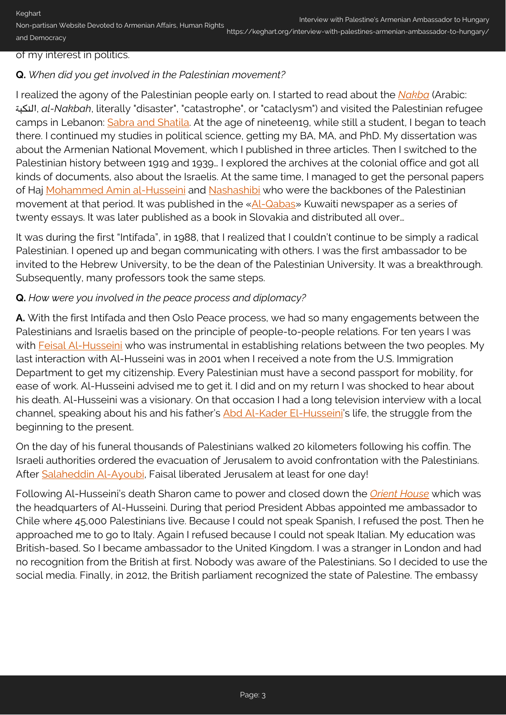Keghart Non-partisan Website Devoted to Armenian Affairs, Human Rights and Democracy

#### of my interest in politics.

#### **Q.** *When did you get involved in the Palestinian movement?*

I realized the agony of the Palestinian people early on. I started to read about the *[Nakba](https://en.wikipedia.org/wiki/1948_Palestinian_exodus)* (Arabic: النكبة, *al-Nakbah*, literally "disaster", "catastrophe", or "cataclysm") and visited the Palestinian refugee camps in Lebanon: [Sabra and Shatila.](https://en.wikipedia.org/wiki/Sabra_and_Shatila_massacre) At the age of nineteen19, while still a student, I began to teach there. I continued my studies in political science, getting my BA, MA, and PhD. My dissertation was about the Armenian National Movement, which I published in three articles. Then I switched to the Palestinian history between 1919 and 1939… I explored the archives at the colonial office and got all kinds of documents, also about the Israelis. At the same time, I managed to get the personal papers of Haj [Mohammed Amin al-Husseini](https://en.wikipedia.org/wiki/Amin_al-Husseini) and [Nashashibi](https://en.wikipedia.org/wiki/Raghib_al-Nashashibi) who were the backbones of the Palestinian movement at that period. It was published in the [«Al-Qabas»](https://en.wikipedia.org/wiki/Al-Qabas) Kuwaiti newspaper as a series of twenty essays. It was later published as a book in Slovakia and distributed all over…

It was during the first "Intifada", in 1988, that I realized that I couldn't continue to be simply a radical Palestinian. I opened up and began communicating with others. I was the first ambassador to be invited to the Hebrew University, to be the dean of the Palestinian University. It was a breakthrough. Subsequently, many professors took the same steps.

#### **Q.** *How were you involved in the peace process and diplomacy?*

**A.** With the first Intifada and then Oslo Peace process, we had so many engagements between the Palestinians and Israelis based on the principle of people-to-people relations. For ten years I was with [Feisal Al-Husseini](http://news.bbc.co.uk/2/hi/middle_east/1361789.stm) who was instrumental in establishing relations between the two peoples. My last interaction with Al-Husseini was in 2001 when I received a note from the U.S. Immigration Department to get my citizenship. Every Palestinian must have a second passport for mobility, for ease of work. Al-Husseini advised me to get it. I did and on my return I was shocked to hear about his death. Al-Husseini was a visionary. On that occasion I had a long television interview with a local channel, speaking about his and his father's [Abd Al-Kader El-Husseini'](https://en.wikipedia.org/wiki/Abd_al-Qadir_al-Husayni)s life, the struggle from the beginning to the present.

On the day of his funeral thousands of Palestinians walked 20 kilometers following his coffin. The Israeli authorities ordered the evacuation of Jerusalem to avoid confrontation with the Palestinians. After [Salaheddin Al-Ayoubi,](https://en.wikipedia.org/wiki/Saladin) Faisal liberated Jerusalem at least for one day!

Following Al-Husseini's death Sharon came to power and closed down the *[Orient House](https://en.wikipedia.org/wiki/Orient_House)* which was the headquarters of Al-Husseini. During that period President Abbas appointed me ambassador to Chile where 45,000 Palestinians live. Because I could not speak Spanish, I refused the post. Then he approached me to go to Italy. Again I refused because I could not speak Italian. My education was British-based. So I became ambassador to the United Kingdom. I was a stranger in London and had no recognition from the British at first. Nobody was aware of the Palestinians. So I decided to use the social media. Finally, in 2012, the British parliament recognized the state of Palestine. The embassy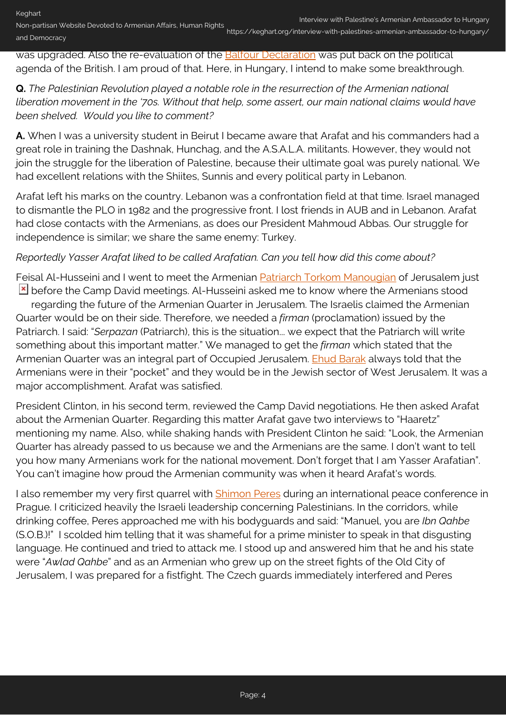was upgraded. Also the re-evaluation of the [Balfour Declaration](https://en.wikipedia.org/wiki/Balfour_Declaration) was put back on the political agenda of the British. I am proud of that. Here, in Hungary, I intend to make some breakthrough.

## **Q.** *The Palestinian Revolution played a notable role in the resurrection of the Armenian national liberation movement in the '70s. Without that help, some assert, our main national claims would have been shelved. Would you like to comment?*

**A.** When I was a university student in Beirut I became aware that Arafat and his commanders had a great role in training the Dashnak, Hunchag, and the A.S.A.L.A. militants. However, they would not join the struggle for the liberation of Palestine, because their ultimate goal was purely national. We had excellent relations with the Shiites, Sunnis and every political party in Lebanon.

Arafat left his marks on the country. Lebanon was a confrontation field at that time. Israel managed to dismantle the PLO in 1982 and the progressive front. I lost friends in AUB and in Lebanon. Arafat had close contacts with the Armenians, as does our President Mahmoud Abbas. Our struggle for independence is similar; we share the same enemy: Turkey.

### *Reportedly Yasser Arafat liked to be called Arafatian. Can you tell how did this come about?*

Feisal Al-Husseini and I went to meet the Armenian [Patriarch Torkom Manougian](https://en.wikipedia.org/wiki/Torkom_Manoogian) of Jerusalem just  $\geq$  before the Camp David meetings. Al-Husseini asked me to know where the Armenians stood

regarding the future of the Armenian Quarter in Jerusalem. The Israelis claimed the Armenian Quarter would be on their side. Therefore, we needed a *firman* (proclamation) issued by the Patriarch. I said: "*Serpazan* (Patriarch), this is the situation... we expect that the Patriarch will write something about this important matter." We managed to get the *firman* which stated that the Armenian Quarter was an integral part of Occupied Jerusalem. [Ehud Barak](https://en.wikipedia.org/wiki/Ehud_Barak) always told that the Armenians were in their "pocket" and they would be in the Jewish sector of West Jerusalem. It was a major accomplishment. Arafat was satisfied.

President Clinton, in his second term, reviewed the Camp David negotiations. He then asked Arafat about the Armenian Quarter. Regarding this matter Arafat gave two interviews to "Haaretz" mentioning my name. Also, while shaking hands with President Clinton he said: "Look, the Armenian Quarter has already passed to us because we and the Armenians are the same. I don't want to tell you how many Armenians work for the national movement. Don't forget that I am Yasser Arafatian". You can't imagine how proud the Armenian community was when it heard Arafat's words.

I also remember my very first quarrel with **[Shimon Peres](https://en.wikipedia.org/wiki/Shimon_Peres)** during an international peace conference in Prague. I criticized heavily the Israeli leadership concerning Palestinians. In the corridors, while drinking coffee, Peres approached me with his bodyguards and said: "Manuel, you are *Ibn Qahbe* (S.O.B.)!" I scolded him telling that it was shameful for a prime minister to speak in that disgusting language. He continued and tried to attack me. I stood up and answered him that he and his state were "*Awlad Qahbe*" and as an Armenian who grew up on the street fights of the Old City of Jerusalem, I was prepared for a fistfight. The Czech guards immediately interfered and Peres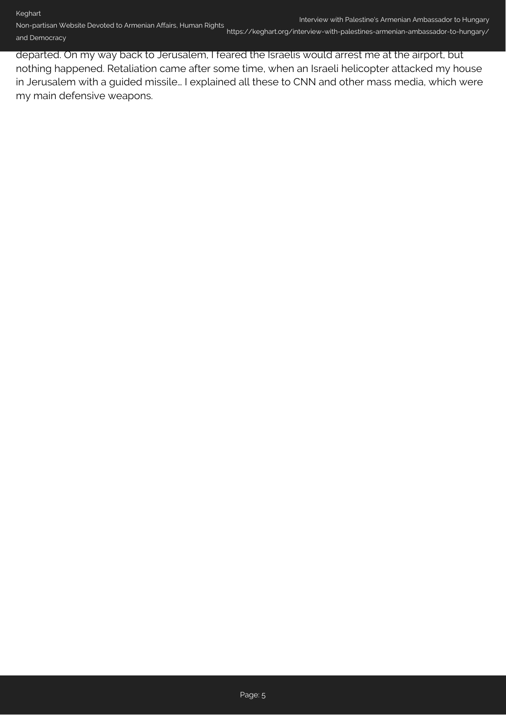https://keghart.org/interview-with-palestines-armenian-ambassador-to-hungary/

departed. On my way back to Jerusalem, I feared the Israelis would arrest me at the airport, but nothing happened. Retaliation came after some time, when an Israeli helicopter attacked my house in Jerusalem with a guided missile… I explained all these to CNN and other mass media, which were my main defensive weapons.